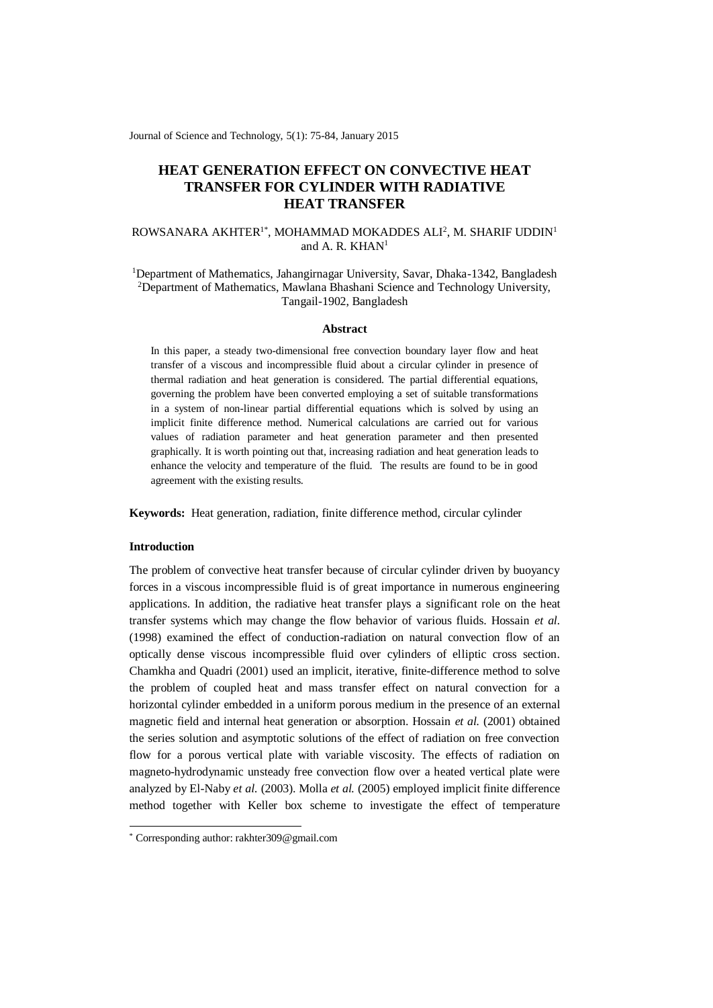Journal of Science and Technology, 5(1): 75-84, January 2015

# **HEAT GENERATION EFFECT ON CONVECTIVE HEAT TRANSFER FOR CYLINDER WITH RADIATIVE HEAT TRANSFER**

# ROWSANARA AKHTER<sup>1\*</sup>, MOHAMMAD MOKADDES ALI<sup>2</sup>, M. SHARIF UDDIN<sup>1</sup> and A. R.  $KHAN<sup>1</sup>$

<sup>1</sup>Department of Mathematics, Jahangirnagar University, Savar, Dhaka-1342, Bangladesh <sup>2</sup>Department of Mathematics, Mawlana Bhashani Science and Technology University, Tangail-1902, Bangladesh

### **Abstract**

In this paper, a steady two-dimensional free convection boundary layer flow and heat transfer of a viscous and incompressible fluid about a circular cylinder in presence of thermal radiation and heat generation is considered. The partial differential equations, governing the problem have been converted employing a set of suitable transformations in a system of non-linear partial differential equations which is solved by using an implicit finite difference method. Numerical calculations are carried out for various values of radiation parameter and heat generation parameter and then presented graphically. It is worth pointing out that, increasing radiation and heat generation leads to enhance the velocity and temperature of the fluid. The results are found to be in good agreement with the existing results.

**Keywords:** Heat generation, radiation, finite difference method, circular cylinder

## **Introduction**

-

The problem of convective heat transfer because of circular cylinder driven by buoyancy forces in a viscous incompressible fluid is of great importance in numerous engineering applications. In addition, the radiative heat transfer plays a significant role on the heat transfer systems which may change the flow behavior of various fluids. Hossain *et al.* (1998) examined the effect of conduction-radiation on natural convection flow of an optically dense viscous incompressible fluid over cylinders of elliptic cross section. Chamkha and Quadri (2001) used an implicit, iterative, finite-difference method to solve the problem of coupled heat and mass transfer effect on natural convection for a horizontal cylinder embedded in a uniform porous medium in the presence of an external magnetic field and internal heat generation or absorption. Hossain *et al.* (2001) obtained the series solution and asymptotic solutions of the effect of radiation on free convection flow for a porous vertical plate with variable viscosity. The effects of radiation on magneto-hydrodynamic unsteady free convection flow over a heated vertical plate were analyzed by El-Naby *et al.* (2003). Molla *et al.* (2005) employed implicit finite difference method together with Keller box scheme to investigate the effect of temperature

<sup>\*</sup> Corresponding author: rakhter309@gmail.com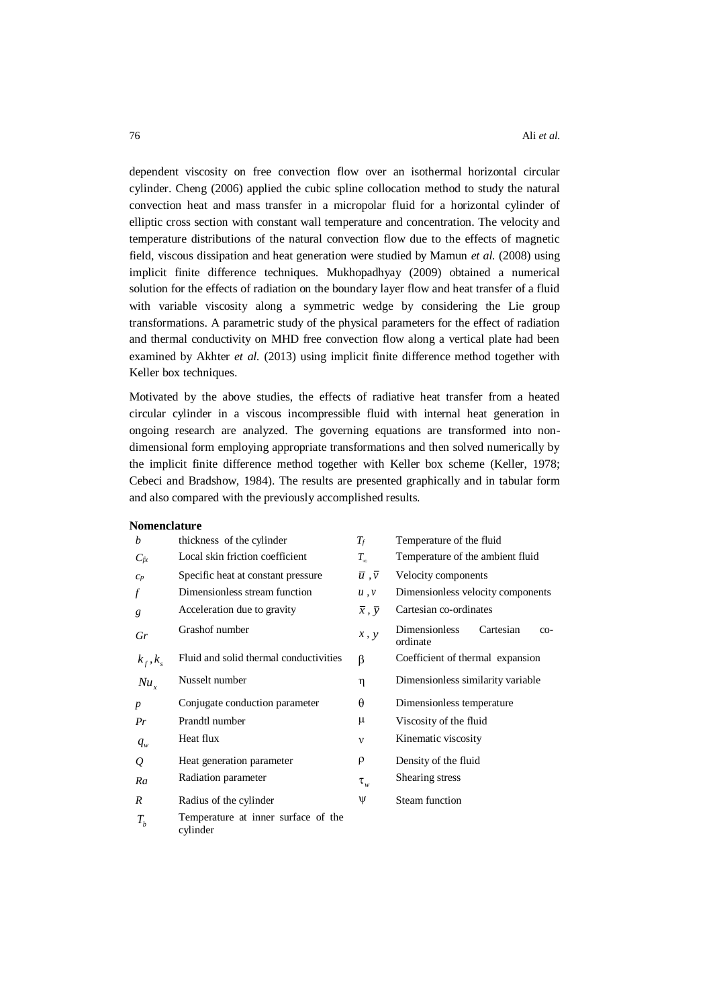dependent viscosity on free convection flow over an isothermal horizontal circular cylinder. Cheng (2006) applied the cubic spline collocation method to study the natural convection heat and mass transfer in a micropolar fluid for a horizontal cylinder of elliptic cross section with constant wall temperature and concentration. The velocity and temperature distributions of the natural convection flow due to the effects of magnetic field, viscous dissipation and heat generation were studied by Mamun *et al.* (2008) using implicit finite difference techniques. Mukhopadhyay (2009) obtained a numerical solution for the effects of radiation on the boundary layer flow and heat transfer of a fluid with variable viscosity along a symmetric wedge by considering the Lie group transformations. A parametric study of the physical parameters for the effect of radiation and thermal conductivity on MHD free convection flow along a vertical plate had been examined by Akhter *et al.* (2013) using implicit finite difference method together with Keller box techniques.

Motivated by the above studies, the effects of radiative heat transfer from a heated circular cylinder in a viscous incompressible fluid with internal heat generation in ongoing research are analyzed. The governing equations are transformed into nondimensional form employing appropriate transformations and then solved numerically by the implicit finite difference method together with Keller box scheme (Keller, 1978; Cebeci and Bradshow, 1984). The results are presented graphically and in tabular form and also compared with the previously accomplished results.

#### **Nomenclature**

| b                | thickness of the cylinder                       | $T_f$                           | Temperature of the fluid                               |  |
|------------------|-------------------------------------------------|---------------------------------|--------------------------------------------------------|--|
| $C_{fx}$         | Local skin friction coefficient                 | $T_{\infty}$                    | Temperature of the ambient fluid                       |  |
| $C_p$            | Specific heat at constant pressure              | $\overline{u}$ , $\overline{v}$ | Velocity components                                    |  |
| f                | Dimensionless stream function                   | u, v                            | Dimensionless velocity components                      |  |
| g                | Acceleration due to gravity                     | $\overline{x}$ , $\overline{y}$ | Cartesian co-ordinates                                 |  |
| Gr               | Grashof number                                  | x, y                            | <b>Dimensionless</b><br>Cartesian<br>$CO-$<br>ordinate |  |
| $k_f, k_s$       | Fluid and solid thermal conductivities          | β                               | Coefficient of thermal expansion                       |  |
| $Nu_{r}$         | Nusselt number                                  | η                               | Dimensionless similarity variable                      |  |
| $\boldsymbol{p}$ | Conjugate conduction parameter                  | $\theta$                        | Dimensionless temperature                              |  |
| Pr               | Prandtl number                                  | μ                               | Viscosity of the fluid                                 |  |
| $q_w$            | Heat flux                                       | $\mathbf{v}$                    | Kinematic viscosity                                    |  |
| Q                | Heat generation parameter                       | ρ                               | Density of the fluid                                   |  |
| Ra               | Radiation parameter                             | $\tau_{_w}$                     | Shearing stress                                        |  |
| R                | Radius of the cylinder                          | Ψ                               | Steam function                                         |  |
| $T_b$            | Temperature at inner surface of the<br>cylinder |                                 |                                                        |  |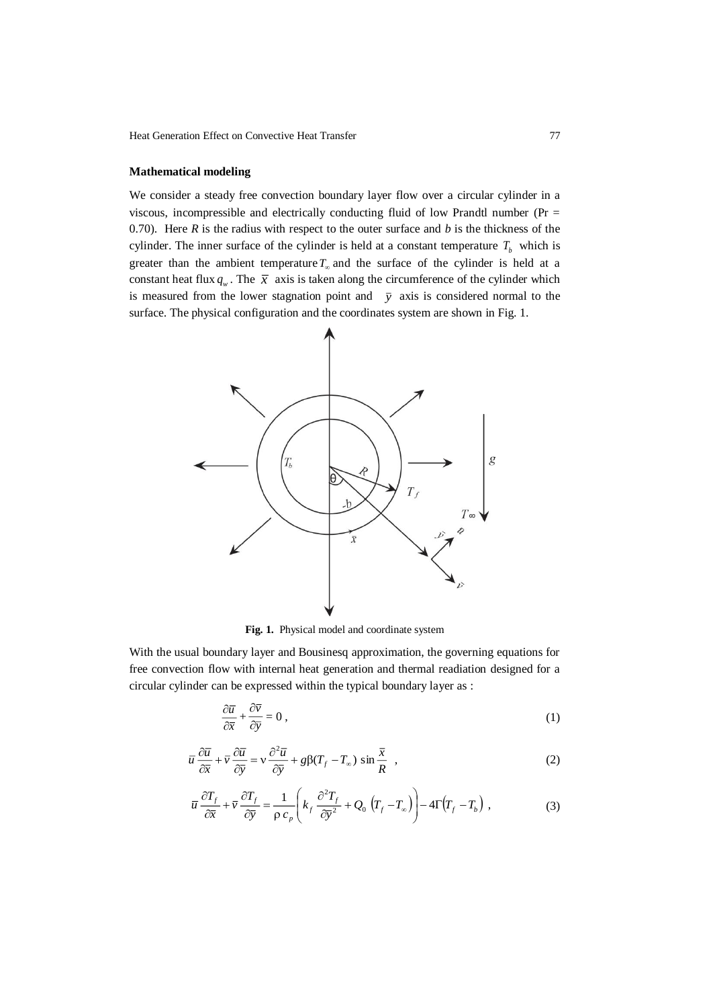Heat Generation Effect on Convective Heat Transfer 77

# **Mathematical modeling**

We consider a steady free convection boundary layer flow over a circular cylinder in a viscous, incompressible and electrically conducting fluid of low Prandtl number (Pr = 0.70). Here *R* is the radius with respect to the outer surface and *b* is the thickness of the cylinder. The inner surface of the cylinder is held at a constant temperature  $T_b$  which is greater than the ambient temperature  $T_{\infty}$  and the surface of the cylinder is held at a constant heat flux  $q_w$ . The  $\bar{x}$  axis is taken along the circumference of the cylinder which is measured from the lower stagnation point and  $\bar{y}$  axis is considered normal to the surface. The physical configuration and the coordinates system are shown in Fig. 1.



**Fig. 1.** Physical model and coordinate system

With the usual boundary layer and Bousinesq approximation, the governing equations for free convection flow with internal heat generation and thermal readiation designed for a circular cylinder can be expressed within the typical boundary layer as :

$$
\frac{\partial \overline{u}}{\partial \overline{x}} + \frac{\partial \overline{v}}{\partial \overline{y}} = 0, \qquad (1)
$$

$$
\overline{u}\frac{\partial \overline{u}}{\partial \overline{x}} + \overline{v}\frac{\partial \overline{u}}{\partial \overline{y}} = v\frac{\partial^2 \overline{u}}{\partial \overline{y}} + g\beta(T_f - T_\infty)\sin\frac{\overline{x}}{R} ,
$$
\n(2)

$$
\overline{u}\frac{\partial T_f}{\partial \overline{x}} + \overline{v}\frac{\partial T_f}{\partial \overline{y}} = \frac{1}{\rho c_p} \left( k_f \frac{\partial^2 T_f}{\partial \overline{y}^2} + Q_0 \left( T_f - T_\infty \right) \right) - 4\Gamma \left( T_f - T_b \right) ,\tag{3}
$$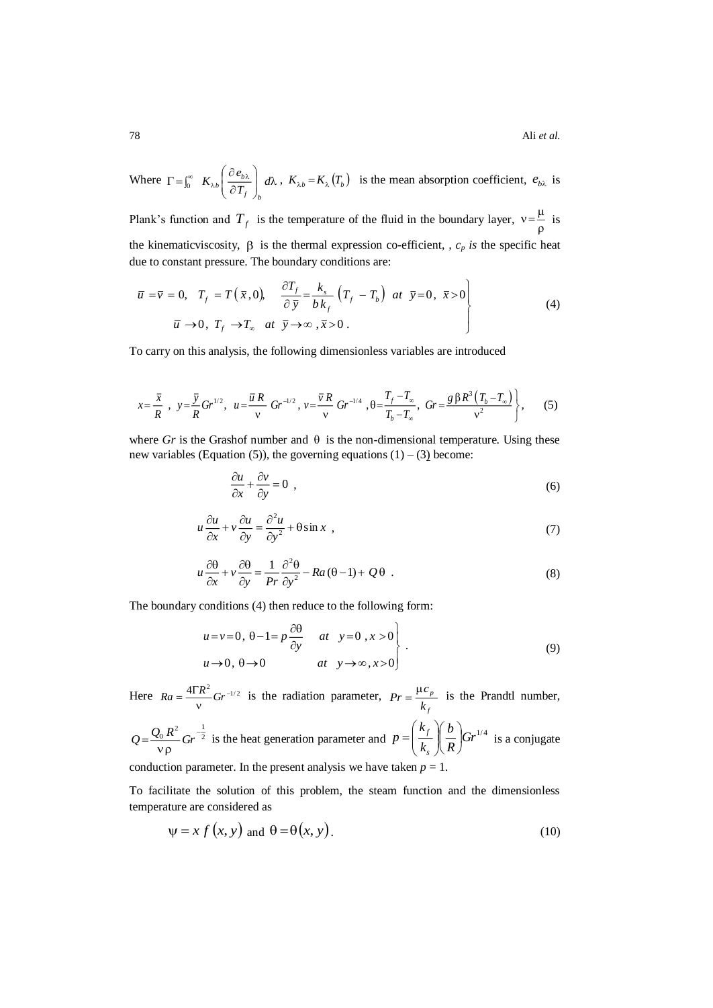78 Ali *et al.*

Where 
$$
\Gamma = \int_0^\infty K_{\lambda b} \left( \frac{\partial e_{b\lambda}}{\partial T_f} \right)_b d\lambda
$$
,  $K_{\lambda b} = K_{\lambda} (T_b)$  is the mean absorption coefficient,  $e_{b\lambda}$  is

Plank's function and  $T_f$  is the temperature of the fluid in the boundary layer,  $v = \frac{\mu}{\rho}$  $v = \frac{\mu}{\hbar}$  is the kinematicviscosity,  $\beta$  is the thermal expression co-efficient, *c<sub>p</sub>* is the specific heat due to constant pressure. The boundary conditions are:

$$
\overline{u} = \overline{v} = 0, \quad T_f = T(\overline{x}, 0), \quad \frac{\partial T_f}{\partial \overline{y}} = \frac{k_s}{b k_f} (T_f - T_b) \quad at \quad \overline{y} = 0, \quad \overline{x} > 0
$$
\n
$$
\overline{u} \rightarrow 0, \quad T_f \rightarrow T_\infty \quad at \quad \overline{y} \rightarrow \infty, \quad \overline{x} > 0.
$$
\n(4)

To carry on this analysis, the following dimensionless variables are introduced

$$
x = \frac{\overline{x}}{R}, \quad y = \frac{\overline{y}}{R}Gr^{1/2}, \quad u = \frac{\overline{u}R}{v}Gr^{-1/2}, \quad v = \frac{\overline{v}R}{v}Gr^{-1/4}, \quad \theta = \frac{T_f - T_\infty}{T_b - T_\infty}, \quad Gr = \frac{g\beta R^3 (T_b - T_\infty)}{v^2}, \tag{5}
$$

where Gr is the Grashof number and  $\theta$  is the non-dimensional temperature. Using these new variables (Equation (5)), the governing equations  $(1) - (3)$  become:

$$
\frac{\partial u}{\partial x} + \frac{\partial v}{\partial y} = 0 \tag{6}
$$

$$
u\frac{\partial u}{\partial x} + v\frac{\partial u}{\partial y} = \frac{\partial^2 u}{\partial y^2} + \theta \sin x \tag{7}
$$

$$
u\frac{\partial\theta}{\partial x} + v\frac{\partial\theta}{\partial y} = \frac{1}{Pr}\frac{\partial^2\theta}{\partial y^2} - Ra(\theta - 1) + Q\theta
$$
 (8)

The boundary conditions (4) then reduce to the following form:

$$
u = v = 0, \ \theta - 1 = p \frac{\partial \theta}{\partial y} \quad at \quad y = 0 \ , x > 0
$$
  

$$
u \to 0, \ \theta \to 0 \qquad at \quad y \to \infty, x > 0
$$
 (9)

Here  $Ra = \frac{4\Gamma R^2}{v} Gr^{-1/2}$  $Ra = \frac{4\Gamma R^2}{\sigma} Gr^{-1/2}$  is the radiation parameter, *f p k*  $Pr = \frac{\mu c_p}{r}$  is the Prandtl number,

 $R^2$   $C_n^{-\frac{1}{2}}$  $Q = \frac{Q_0 R^2}{v \rho} Gr^{-\frac{1}{2}}$  is the heat generation parameter and  $p = \left(\frac{k_f}{k_s}\right) \left(\frac{B}{R}\right) Gr^{1/4}$ *R b k k p s f* l J  $\left(\frac{b}{-}\right)$ l ſ I I J  $\backslash$  $\overline{\phantom{a}}$ l  $=\left(\frac{k_f}{l}\right)\left(\frac{b}{R}\right)$   $Gr^{1/4}$  is a conjugate conduction parameter. In the present analysis we have taken  $p = 1$ .

To facilitate the solution of this problem, the steam function and the dimensionless temperature are considered as

$$
\psi = x f(x, y) \text{ and } \theta = \theta(x, y). \tag{10}
$$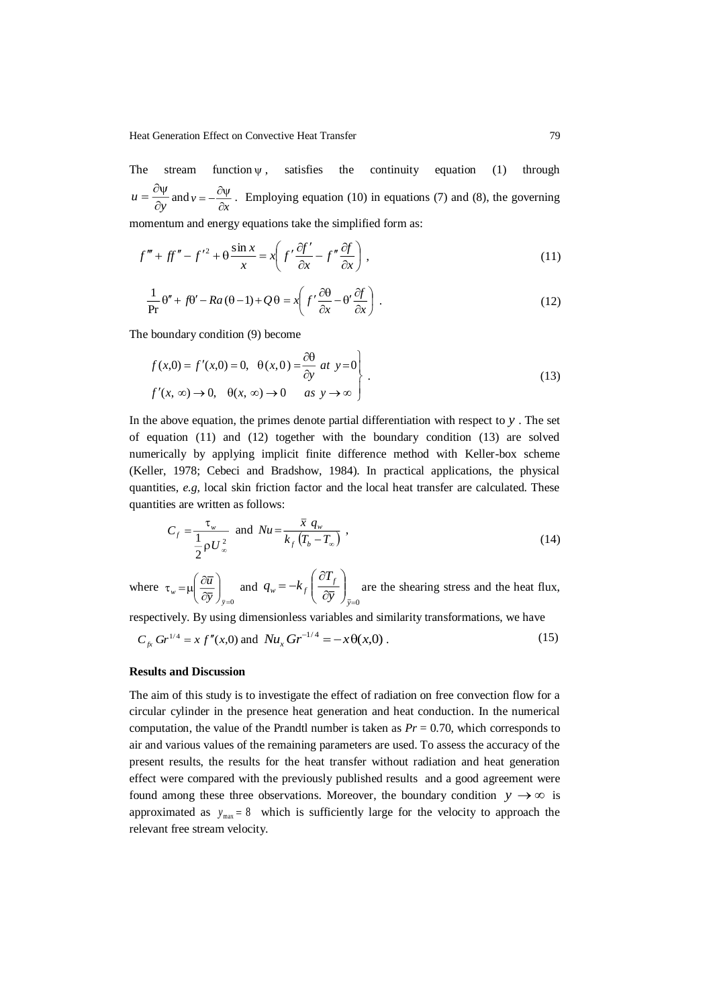The stream function  $\psi$ satisfies the continuity equation (1) through *y*  $u = \frac{1}{\partial}$  $=\frac{\partial \psi}{\partial y}$  and  $v = -\frac{\partial \psi}{\partial x}$  $=-\frac{\partial \psi}{\partial x}$ . Employing equation (10) in equations (7) and (8), the governing momentum and energy equations take the simplified form as:

$$
f''' + ff'' - f'^2 + \theta \frac{\sin x}{x} = x \left( f' \frac{\partial f'}{\partial x} - f'' \frac{\partial f}{\partial x} \right),
$$
\n(11)

$$
\frac{1}{\Pr} \theta'' + f\theta' - Ra(\theta - 1) + Q\theta = x \left( f' \frac{\partial \theta}{\partial x} - \theta' \frac{\partial f}{\partial x} \right) .
$$
\n(12)

The boundary condition (9) become

$$
f(x,0) = f'(x,0) = 0, \quad \theta(x,0) = \frac{\partial \theta}{\partial y} \quad at \quad y = 0
$$
  

$$
f'(x,\infty) \to 0, \quad \theta(x,\infty) \to 0 \qquad as \quad y \to \infty
$$
 (13)

In the above equation, the primes denote partial differentiation with respect to *y* . The set of equation (11) and (12) together with the boundary condition (13) are solved numerically by applying implicit finite difference method with Keller-box scheme (Keller, 1978; Cebeci and Bradshow, 1984). In practical applications, the physical quantities, *e.g,* local skin friction factor and the local heat transfer are calculated. These quantities are written as follows:

$$
C_f = \frac{\tau_w}{\frac{1}{2}\rho U_\infty^2} \text{ and } Nu = \frac{\overline{x} q_w}{k_f (T_b - T_\infty)},
$$
\n(14)

where  $\int_{\bar{v}=0}$  $\backslash$  $\overline{\phantom{a}}$ l ſ õ д  $\tau_w^{}$  =  $\mu$ *y w* ( $\partial \overline{y}$ )  $\frac{u}{u}$  and  $\int_{\bar{\mathrm{v}}=0}$ I  $\backslash$  $\overline{\phantom{a}}$ l ſ д  $=-k_{\epsilon} \left( \frac{\partial}{\partial x} \right)$ *y f*  $w = \kappa_f \left( \partial \overline{y} \right)$  $q_w = -k_f \left( \frac{\partial T_f}{\partial z} \right)$  are the shearing stress and the heat flux,

respectively. By using dimensionless variables and similarity transformations, we have

$$
C_{f_x} Gr^{1/4} = x f''(x,0) \text{ and } Nu_x Gr^{-1/4} = -x \theta(x,0) \,. \tag{15}
$$

### **Results and Discussion**

The aim of this study is to investigate the effect of radiation on free convection flow for a circular cylinder in the presence heat generation and heat conduction. In the numerical computation, the value of the Prandtl number is taken as  $Pr = 0.70$ , which corresponds to air and various values of the remaining parameters are used. To assess the accuracy of the present results, the results for the heat transfer without radiation and heat generation effect were compared with the previously published results and a good agreement were found among these three observations. Moreover, the boundary condition  $y \rightarrow \infty$  is approximated as  $y_{\text{max}} = 8$  which is sufficiently large for the velocity to approach the relevant free stream velocity.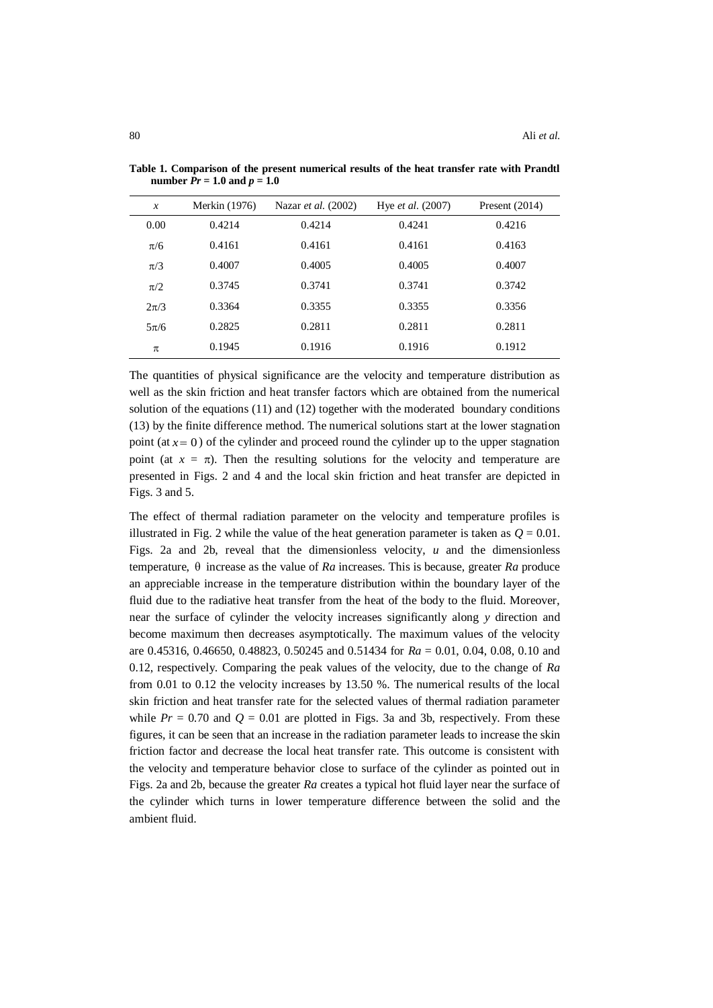| $\boldsymbol{x}$ | Merkin (1976) | Nazar <i>et al.</i> (2002) | Hye <i>et al.</i> (2007) | Present $(2014)$ |
|------------------|---------------|----------------------------|--------------------------|------------------|
| 0.00             | 0.4214        | 0.4214                     | 0.4241                   | 0.4216           |
| $\pi/6$          | 0.4161        | 0.4161                     | 0.4161                   | 0.4163           |
| $\pi/3$          | 0.4007        | 0.4005                     | 0.4005                   | 0.4007           |
| $\pi/2$          | 0.3745        | 0.3741                     | 0.3741                   | 0.3742           |
| $2\pi/3$         | 0.3364        | 0.3355                     | 0.3355                   | 0.3356           |
| $5\pi/6$         | 0.2825        | 0.2811                     | 0.2811                   | 0.2811           |
| π                | 0.1945        | 0.1916                     | 0.1916                   | 0.1912           |

**Table 1. Comparison of the present numerical results of the heat transfer rate with Prandtl number** *Pr* **= 1.0 and**  $p = 1.0$ 

The quantities of physical significance are the velocity and temperature distribution as well as the skin friction and heat transfer factors which are obtained from the numerical solution of the equations (11) and (12) together with the moderated boundary conditions (13) by the finite difference method. The numerical solutions start at the lower stagnation point (at  $x = 0$ ) of the cylinder and proceed round the cylinder up to the upper stagnation point (at  $x = \pi$ ). Then the resulting solutions for the velocity and temperature are presented in Figs. 2 and 4 and the local skin friction and heat transfer are depicted in Figs. 3 and 5.

The effect of thermal radiation parameter on the velocity and temperature profiles is illustrated in Fig. 2 while the value of the heat generation parameter is taken as  $Q = 0.01$ . Figs. 2a and 2b, reveal that the dimensionless velocity, *u* and the dimensionless temperature,  $\theta$  increase as the value of *Ra* increases. This is because, greater *Ra* produce an appreciable increase in the temperature distribution within the boundary layer of the fluid due to the radiative heat transfer from the heat of the body to the fluid. Moreover, near the surface of cylinder the velocity increases significantly along *y* direction and become maximum then decreases asymptotically. The maximum values of the velocity are 0.45316, 0.46650, 0.48823, 0.50245 and 0.51434 for *Ra* = 0.01, 0.04, 0.08, 0.10 and 0.12, respectively. Comparing the peak values of the velocity, due to the change of *Ra*  from 0.01 to 0.12 the velocity increases by 13.50 %. The numerical results of the local skin friction and heat transfer rate for the selected values of thermal radiation parameter while  $Pr = 0.70$  and  $Q = 0.01$  are plotted in Figs. 3a and 3b, respectively. From these figures, it can be seen that an increase in the radiation parameter leads to increase the skin friction factor and decrease the local heat transfer rate. This outcome is consistent with the velocity and temperature behavior close to surface of the cylinder as pointed out in Figs. 2a and 2b, because the greater *Ra* creates a typical hot fluid layer near the surface of the cylinder which turns in lower temperature difference between the solid and the ambient fluid.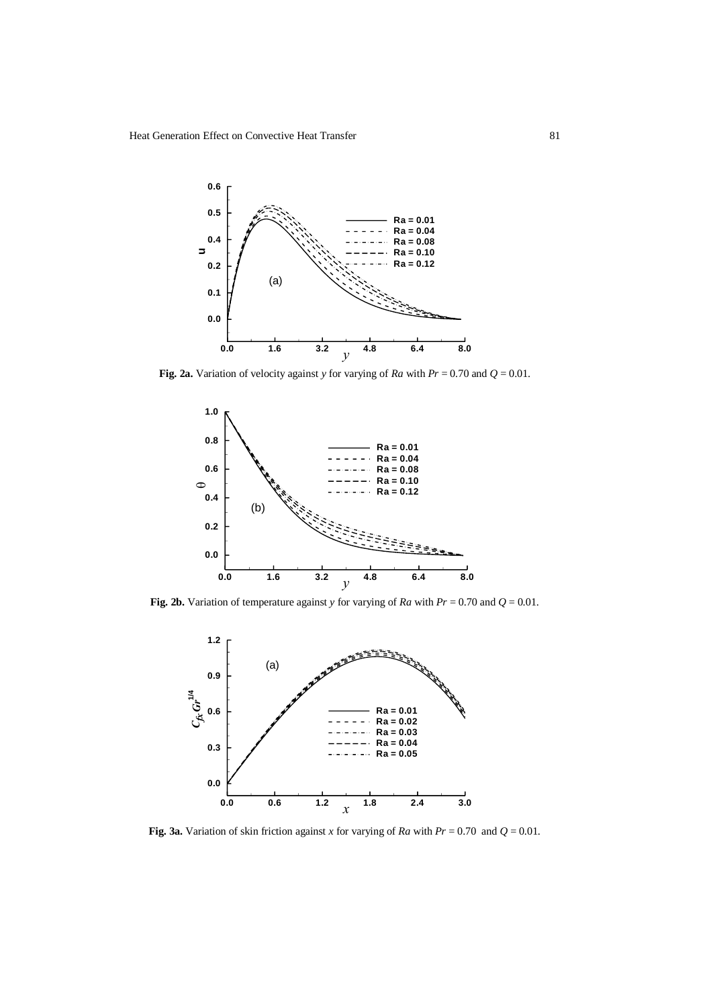

**Fig. 2a.** Variation of velocity against *y* for varying of *Ra* with  $Pr = 0.70$  and  $Q = 0.01$ .



**Fig. 2b.** Variation of temperature against *y* for varying of *Ra* with  $Pr = 0.70$  and  $Q = 0.01$ .



**Fig. 3a.** Variation of skin friction against *x* for varying of *Ra* with  $Pr = 0.70$  and  $Q = 0.01$ .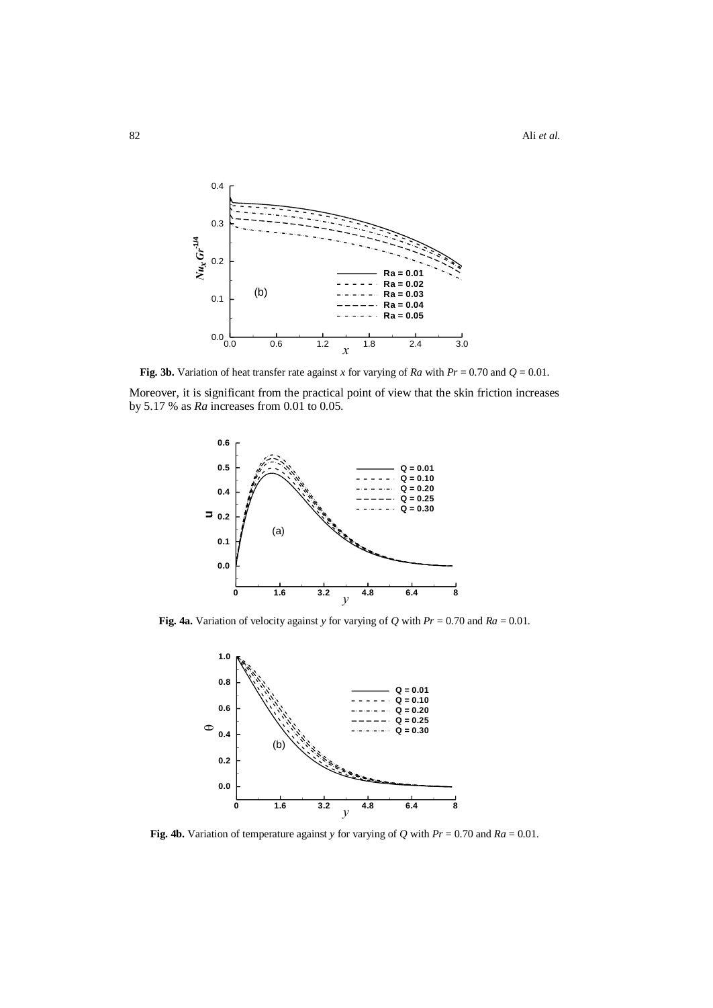

**Fig. 3b.** Variation of heat transfer rate against *x* for varying of *Ra* with  $Pr = 0.70$  and  $Q = 0.01$ .

Moreover, it is significant from the practical point of view that the skin friction increases by 5.17 % as *Ra* increases from 0.01 to 0.05.



**Fig. 4a.** Variation of velocity against *y* for varying of *Q* with *Pr* = 0.70 and *Ra* = 0.01.



**Fig. 4b.** Variation of temperature against *y* for varying of *Q* with *Pr* = 0.70 and *Ra* = 0.01.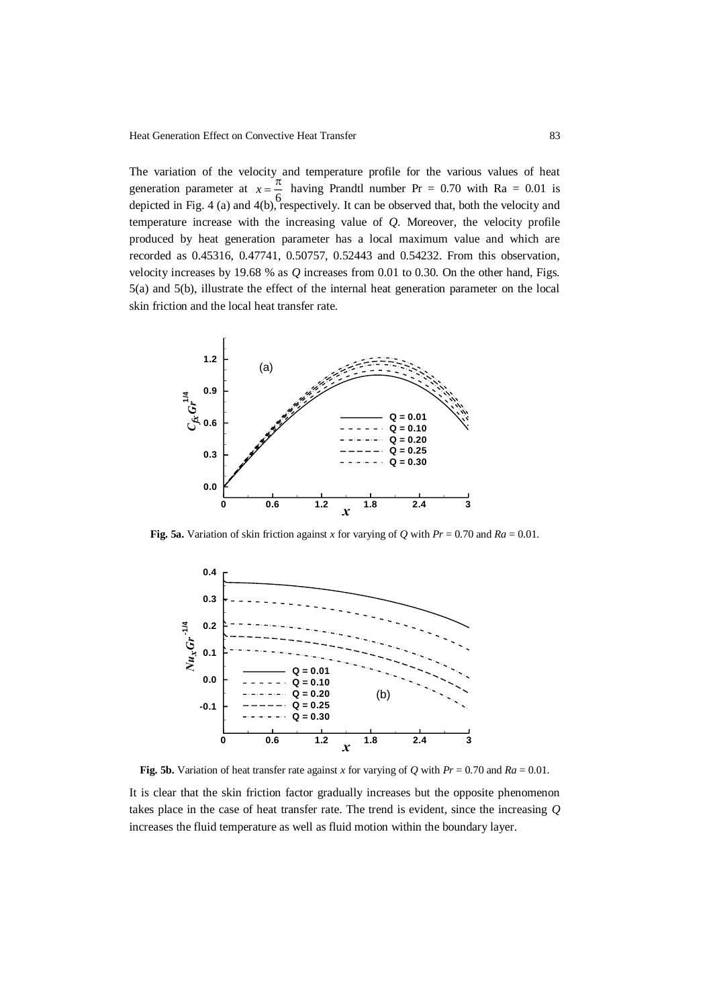The variation of the velocity and temperature profile for the various values of heat generation parameter at 6  $x = \frac{\pi}{6}$  having Prandtl number Pr = 0.70 with Ra = 0.01 is depicted in Fig. 4 (a) and 4(b), respectively. It can be observed that, both the velocity and temperature increase with the increasing value of *Q*. Moreover, the velocity profile produced by heat generation parameter has a local maximum value and which are recorded as 0.45316, 0.47741, 0.50757, 0.52443 and 0.54232. From this observation, velocity increases by 19.68 % as *Q* increases from 0.01 to 0.30. On the other hand, Figs. 5(a) and 5(b), illustrate the effect of the internal heat generation parameter on the local skin friction and the local heat transfer rate.



**Fig. 5a.** Variation of skin friction against *x* for varying of *Q* with  $Pr = 0.70$  and  $Ra = 0.01$ .



**Fig. 5b.** Variation of heat transfer rate against *x* for varying of *Q* with  $Pr = 0.70$  and  $Ra = 0.01$ .

It is clear that the skin friction factor gradually increases but the opposite phenomenon takes place in the case of heat transfer rate. The trend is evident, since the increasing *Q* increases the fluid temperature as well as fluid motion within the boundary layer.